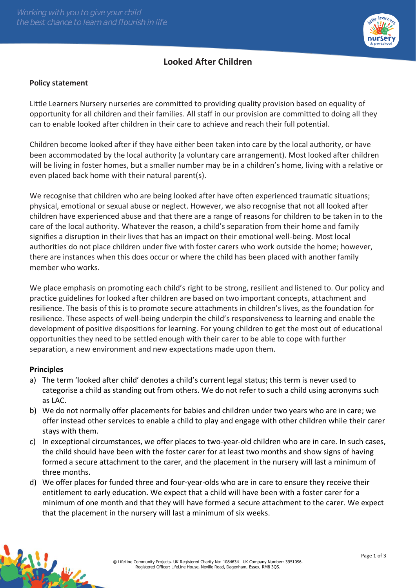

## **Looked After Children**

## **Policy statement**

Little Learners Nursery nurseries are committed to providing quality provision based on equality of opportunity for all children and their families. All staff in our provision are committed to doing all they can to enable looked after children in their care to achieve and reach their full potential.

Children become looked after if they have either been taken into care by the local authority, or have been accommodated by the local authority (a voluntary care arrangement). Most looked after children will be living in foster homes, but a smaller number may be in a children's home, living with a relative or even placed back home with their natural parent(s).

We recognise that children who are being looked after have often experienced traumatic situations; physical, emotional or sexual abuse or neglect. However, we also recognise that not all looked after children have experienced abuse and that there are a range of reasons for children to be taken in to the care of the local authority. Whatever the reason, a child's separation from their home and family signifies a disruption in their lives that has an impact on their emotional well-being. Most local authorities do not place children under five with foster carers who work outside the home; however, there are instances when this does occur or where the child has been placed with another family member who works.

We place emphasis on promoting each child's right to be strong, resilient and listened to. Our policy and practice guidelines for looked after children are based on two important concepts, attachment and resilience. The basis of this is to promote secure attachments in children's lives, as the foundation for resilience. These aspects of well-being underpin the child's responsiveness to learning and enable the development of positive dispositions for learning. For young children to get the most out of educational opportunities they need to be settled enough with their carer to be able to cope with further separation, a new environment and new expectations made upon them.

## **Principles**

- a) The term 'looked after child' denotes a child's current legal status; this term is never used to categorise a child as standing out from others. We do not refer to such a child using acronyms such as LAC.
- b) We do not normally offer placements for babies and children under two years who are in care; we offer instead other services to enable a child to play and engage with other children while their carer stays with them.
- c) In exceptional circumstances, we offer places to two-year-old children who are in care. In such cases, the child should have been with the foster carer for at least two months and show signs of having formed a secure attachment to the carer, and the placement in the nursery will last a minimum of three months.
- d) We offer places for funded three and four-year-olds who are in care to ensure they receive their entitlement to early education. We expect that a child will have been with a foster carer for a minimum of one month and that they will have formed a secure attachment to the carer. We expect that the placement in the nursery will last a minimum of six weeks.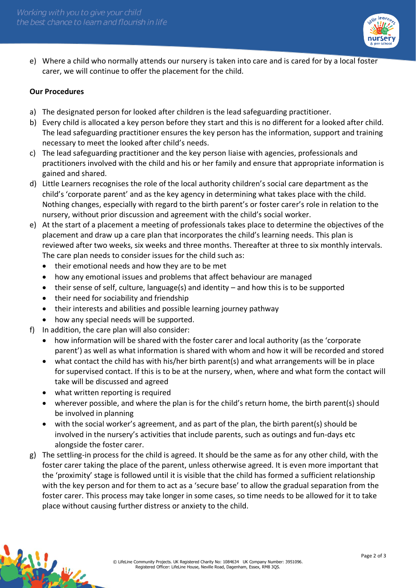

e) Where a child who normally attends our nursery is taken into care and is cared for by a local foster carer, we will continue to offer the placement for the child.

## **Our Procedures**

- a) The designated person for looked after children is the lead safeguarding practitioner.
- b) Every child is allocated a key person before they start and this is no different for a looked after child. The lead safeguarding practitioner ensures the key person has the information, support and training necessary to meet the looked after child's needs.
- c) The lead safeguarding practitioner and the key person liaise with agencies, professionals and practitioners involved with the child and his or her family and ensure that appropriate information is gained and shared.
- d) Little Learners recognises the role of the local authority children's social care department as the child's 'corporate parent' and as the key agency in determining what takes place with the child. Nothing changes, especially with regard to the birth parent's or foster carer's role in relation to the nursery, without prior discussion and agreement with the child's social worker.
- e) At the start of a placement a meeting of professionals takes place to determine the objectives of the placement and draw up a care plan that incorporates the child's learning needs. This plan is reviewed after two weeks, six weeks and three months. Thereafter at three to six monthly intervals. The care plan needs to consider issues for the child such as:
	- their emotional needs and how they are to be met
	- how any emotional issues and problems that affect behaviour are managed
	- their sense of self, culture, language(s) and identity and how this is to be supported
	- their need for sociability and friendship
	- their interests and abilities and possible learning journey pathway
	- how any special needs will be supported.
- f) In addition, the care plan will also consider:
	- how information will be shared with the foster carer and local authority (as the 'corporate parent') as well as what information is shared with whom and how it will be recorded and stored
	- what contact the child has with his/her birth parent(s) and what arrangements will be in place for supervised contact. If this is to be at the nursery, when, where and what form the contact will take will be discussed and agreed
	- what written reporting is required
	- wherever possible, and where the plan is for the child's return home, the birth parent(s) should be involved in planning
	- with the social worker's agreement, and as part of the plan, the birth parent(s) should be involved in the nursery's activities that include parents, such as outings and fun-days etc alongside the foster carer.
- g) The settling-in process for the child is agreed. It should be the same as for any other child, with the foster carer taking the place of the parent, unless otherwise agreed. It is even more important that the 'proximity' stage is followed until it is visible that the child has formed a sufficient relationship with the key person and for them to act as a 'secure base' to allow the gradual separation from the foster carer. This process may take longer in some cases, so time needs to be allowed for it to take place without causing further distress or anxiety to the child.